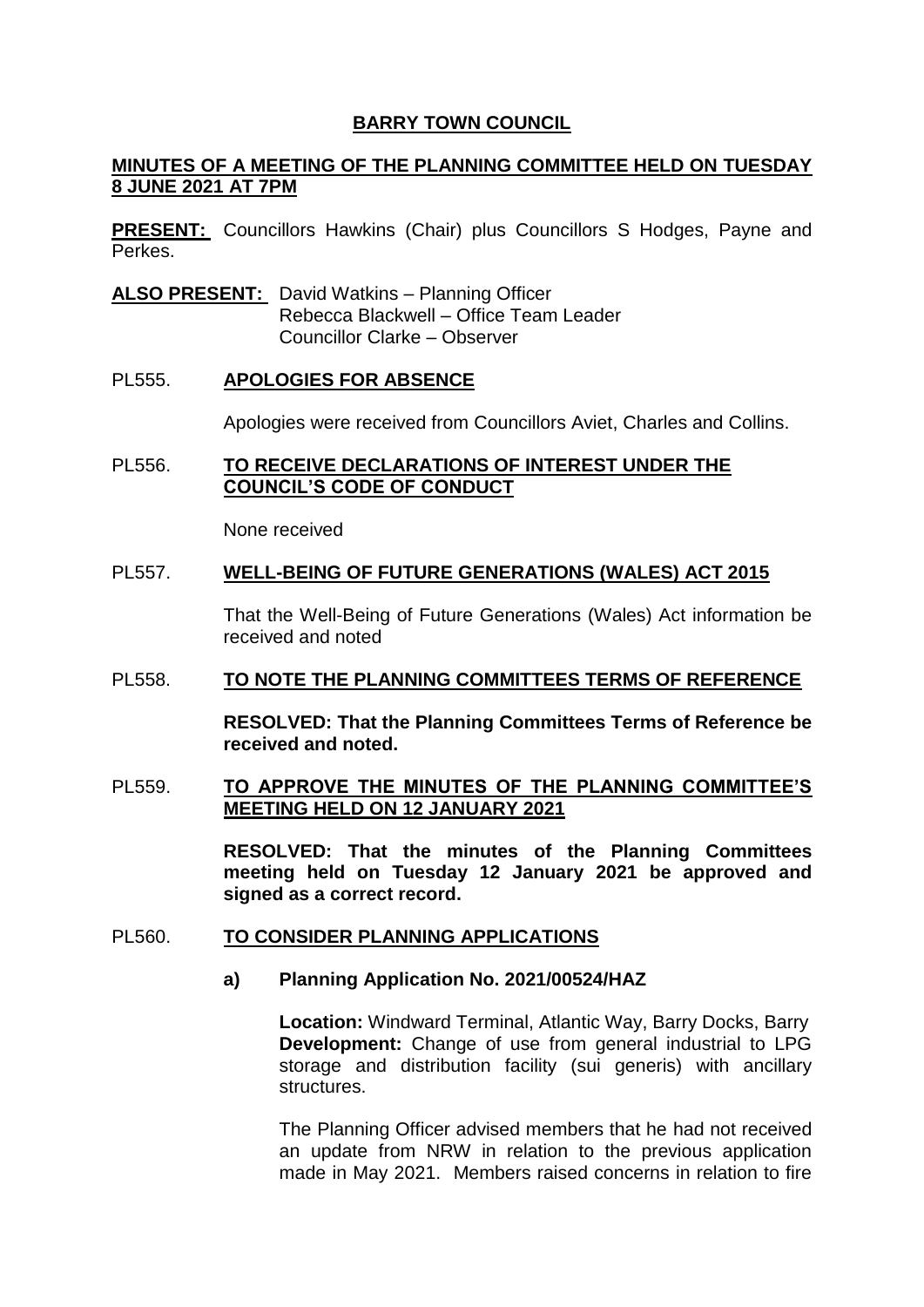## **BARRY TOWN COUNCIL**

## **MINUTES OF A MEETING OF THE PLANNING COMMITTEE HELD ON TUESDAY 8 JUNE 2021 AT 7PM**

**PRESENT:** Councillors Hawkins (Chair) plus Councillors S Hodges, Payne and Perkes.

**ALSO PRESENT:** David Watkins – Planning Officer Rebecca Blackwell – Office Team Leader Councillor Clarke – Observer

#### PL555. **APOLOGIES FOR ABSENCE**

Apologies were received from Councillors Aviet, Charles and Collins.

### PL556. **TO RECEIVE DECLARATIONS OF INTEREST UNDER THE COUNCIL'S CODE OF CONDUCT**

None received

#### PL557. **WELL-BEING OF FUTURE GENERATIONS (WALES) ACT 2015**

That the Well-Being of Future Generations (Wales) Act information be received and noted

#### PL558. **TO NOTE THE PLANNING COMMITTEES TERMS OF REFERENCE**

**RESOLVED: That the Planning Committees Terms of Reference be received and noted.** 

### PL559. **TO APPROVE THE MINUTES OF THE PLANNING COMMITTEE'S MEETING HELD ON 12 JANUARY 2021**

**RESOLVED: That the minutes of the Planning Committees meeting held on Tuesday 12 January 2021 be approved and signed as a correct record.** 

#### PL560. **TO CONSIDER PLANNING APPLICATIONS**

# **a) Planning Application No. 2021/00524/HAZ**

**Location:** Windward Terminal, Atlantic Way, Barry Docks, Barry **Development:** Change of use from general industrial to LPG storage and distribution facility (sui generis) with ancillary structures.

The Planning Officer advised members that he had not received an update from NRW in relation to the previous application made in May 2021. Members raised concerns in relation to fire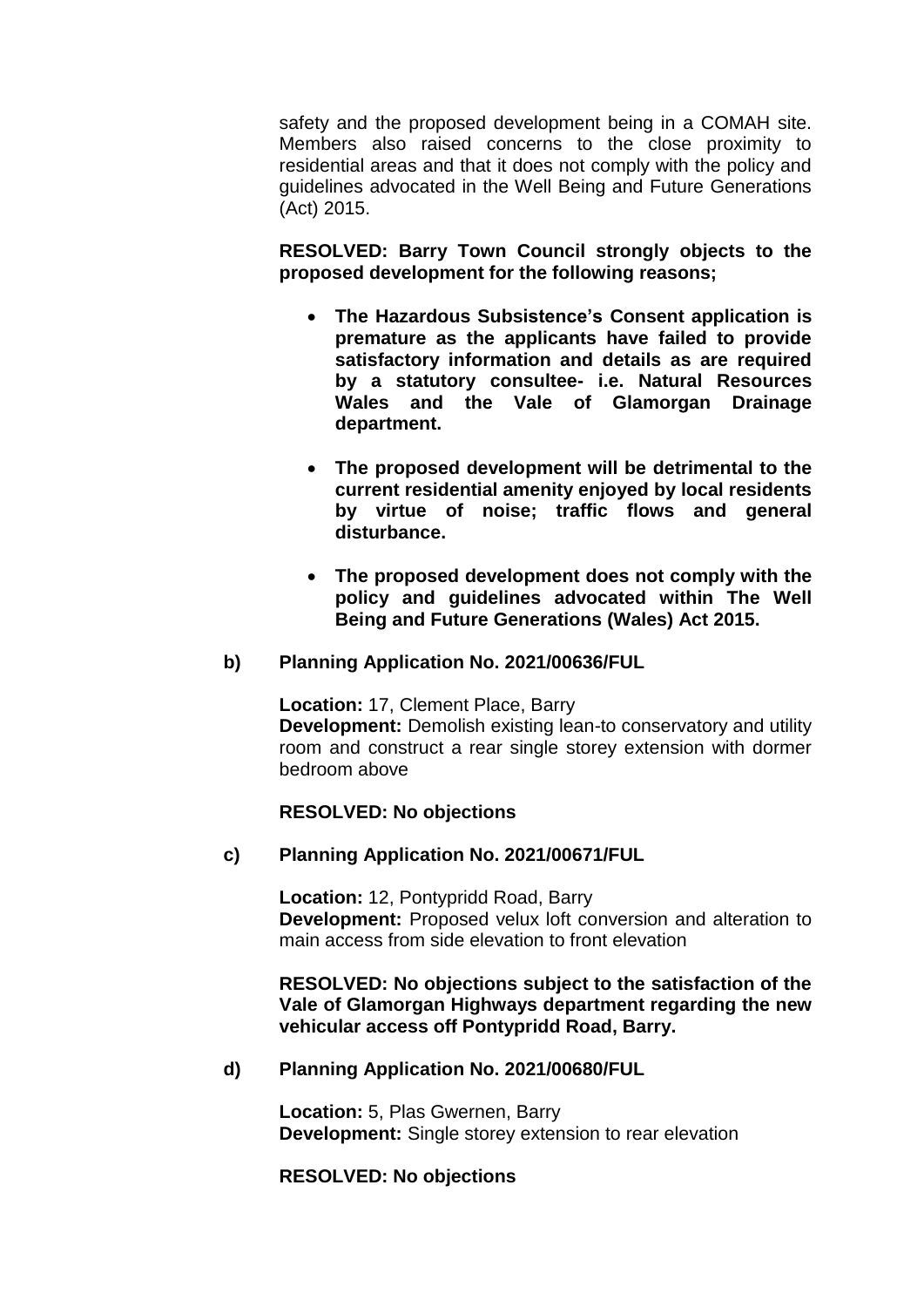safety and the proposed development being in a COMAH site. Members also raised concerns to the close proximity to residential areas and that it does not comply with the policy and guidelines advocated in the Well Being and Future Generations (Act) 2015.

**RESOLVED: Barry Town Council strongly objects to the proposed development for the following reasons;**

- **The Hazardous Subsistence's Consent application is premature as the applicants have failed to provide satisfactory information and details as are required by a statutory consultee- i.e. Natural Resources Wales and the Vale of Glamorgan Drainage department.**
- **The proposed development will be detrimental to the current residential amenity enjoyed by local residents by virtue of noise; traffic flows and general disturbance.**
- **The proposed development does not comply with the policy and guidelines advocated within The Well Being and Future Generations (Wales) Act 2015.**

# **b) Planning Application No. 2021/00636/FUL**

**Location:** 17, Clement Place, Barry **Development:** Demolish existing lean-to conservatory and utility room and construct a rear single storey extension with dormer bedroom above

# **RESOLVED: No objections**

#### **c) Planning Application No. 2021/00671/FUL**

**Location:** 12, Pontypridd Road, Barry **Development:** Proposed velux loft conversion and alteration to main access from side elevation to front elevation

**RESOLVED: No objections subject to the satisfaction of the Vale of Glamorgan Highways department regarding the new vehicular access off Pontypridd Road, Barry.** 

#### **d) Planning Application No. 2021/00680/FUL**

**Location:** 5, Plas Gwernen, Barry **Development:** Single storey extension to rear elevation

#### **RESOLVED: No objections**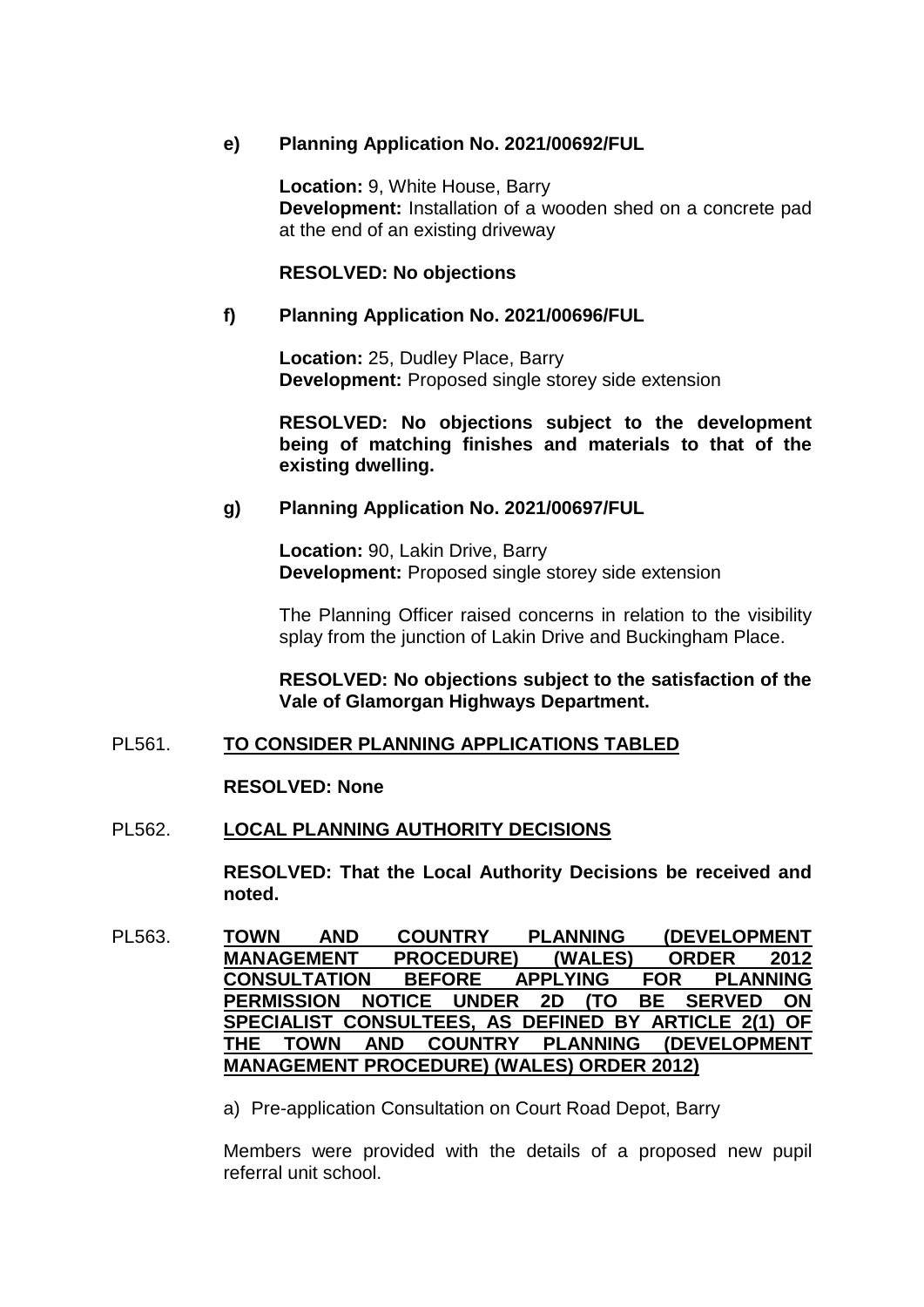# **e) Planning Application No. 2021/00692/FUL**

**Location:** 9, White House, Barry **Development:** Installation of a wooden shed on a concrete pad at the end of an existing driveway

### **RESOLVED: No objections**

## **f) Planning Application No. 2021/00696/FUL**

**Location:** 25, Dudley Place, Barry **Development:** Proposed single storey side extension

**RESOLVED: No objections subject to the development being of matching finishes and materials to that of the existing dwelling.** 

# **g) Planning Application No. 2021/00697/FUL**

**Location:** 90, Lakin Drive, Barry **Development:** Proposed single storey side extension

The Planning Officer raised concerns in relation to the visibility splay from the junction of Lakin Drive and Buckingham Place.

**RESOLVED: No objections subject to the satisfaction of the Vale of Glamorgan Highways Department.** 

# PL561. **TO CONSIDER PLANNING APPLICATIONS TABLED**

#### **RESOLVED: None**

# PL562. **LOCAL PLANNING AUTHORITY DECISIONS**

**RESOLVED: That the Local Authority Decisions be received and noted.** 

PL563. **TOWN AND COUNTRY PLANNING (DEVELOPMENT MANAGEMENT PROCEDURE) (WALES) ORDER 2012 CONSULTATION BEFORE APPLYING FOR PLANNING PERMISSION NOTICE UNDER 2D (TO BE SERVED ON SPECIALIST CONSULTEES, AS DEFINED BY ARTICLE 2(1) OF THE TOWN AND COUNTRY PLANNING (DEVELOPMENT MANAGEMENT PROCEDURE) (WALES) ORDER 2012)**

a) Pre-application Consultation on Court Road Depot, Barry

Members were provided with the details of a proposed new pupil referral unit school.